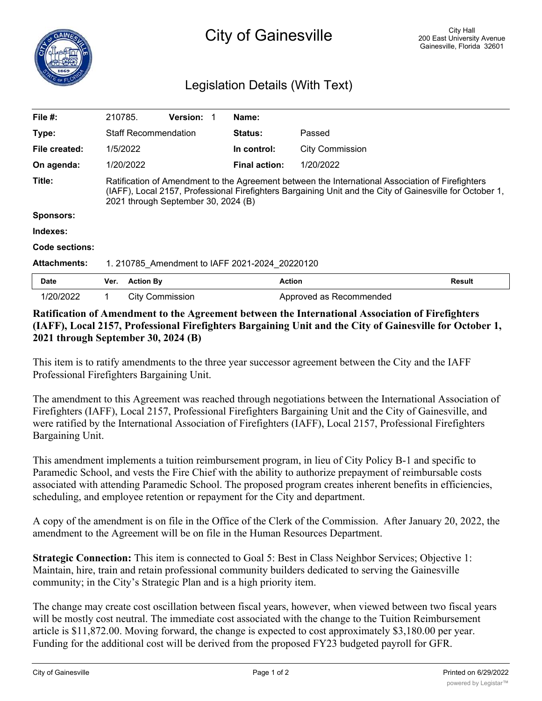## Legislation Details (With Text)

| File $#$ :          | 210785.                                                                                                                                                                                                                                             |                        | Version: |  | Name:                |                         |               |
|---------------------|-----------------------------------------------------------------------------------------------------------------------------------------------------------------------------------------------------------------------------------------------------|------------------------|----------|--|----------------------|-------------------------|---------------|
| Type:               | <b>Staff Recommendation</b>                                                                                                                                                                                                                         |                        |          |  | <b>Status:</b>       | Passed                  |               |
| File created:       | 1/5/2022                                                                                                                                                                                                                                            |                        |          |  | In control:          | <b>City Commission</b>  |               |
| On agenda:          | 1/20/2022                                                                                                                                                                                                                                           |                        |          |  | <b>Final action:</b> | 1/20/2022               |               |
| Title:              | Ratification of Amendment to the Agreement between the International Association of Firefighters<br>(IAFF), Local 2157, Professional Firefighters Bargaining Unit and the City of Gainesville for October 1,<br>2021 through September 30, 2024 (B) |                        |          |  |                      |                         |               |
| <b>Sponsors:</b>    |                                                                                                                                                                                                                                                     |                        |          |  |                      |                         |               |
| Indexes:            |                                                                                                                                                                                                                                                     |                        |          |  |                      |                         |               |
| Code sections:      |                                                                                                                                                                                                                                                     |                        |          |  |                      |                         |               |
| <b>Attachments:</b> | 1. 210785 Amendment to IAFF 2021-2024 20220120                                                                                                                                                                                                      |                        |          |  |                      |                         |               |
| <b>Date</b>         | Ver.                                                                                                                                                                                                                                                | <b>Action By</b>       |          |  |                      | <b>Action</b>           | <b>Result</b> |
| 1/20/2022           | 1                                                                                                                                                                                                                                                   | <b>City Commission</b> |          |  |                      | Approved as Recommended |               |

## **Ratification of Amendment to the Agreement between the International Association of Firefighters (IAFF), Local 2157, Professional Firefighters Bargaining Unit and the City of Gainesville for October 1, 2021 through September 30, 2024 (B)**

This item is to ratify amendments to the three year successor agreement between the City and the IAFF Professional Firefighters Bargaining Unit.

The amendment to this Agreement was reached through negotiations between the International Association of Firefighters (IAFF), Local 2157, Professional Firefighters Bargaining Unit and the City of Gainesville, and were ratified by the International Association of Firefighters (IAFF), Local 2157, Professional Firefighters Bargaining Unit.

This amendment implements a tuition reimbursement program, in lieu of City Policy B-1 and specific to Paramedic School, and vests the Fire Chief with the ability to authorize prepayment of reimbursable costs associated with attending Paramedic School. The proposed program creates inherent benefits in efficiencies, scheduling, and employee retention or repayment for the City and department.

A copy of the amendment is on file in the Office of the Clerk of the Commission. After January 20, 2022, the amendment to the Agreement will be on file in the Human Resources Department.

**Strategic Connection:** This item is connected to Goal 5: Best in Class Neighbor Services; Objective 1: Maintain, hire, train and retain professional community builders dedicated to serving the Gainesville community; in the City's Strategic Plan and is a high priority item.

The change may create cost oscillation between fiscal years, however, when viewed between two fiscal years will be mostly cost neutral. The immediate cost associated with the change to the Tuition Reimbursement article is \$11,872.00. Moving forward, the change is expected to cost approximately \$3,180.00 per year. Funding for the additional cost will be derived from the proposed FY23 budgeted payroll for GFR.